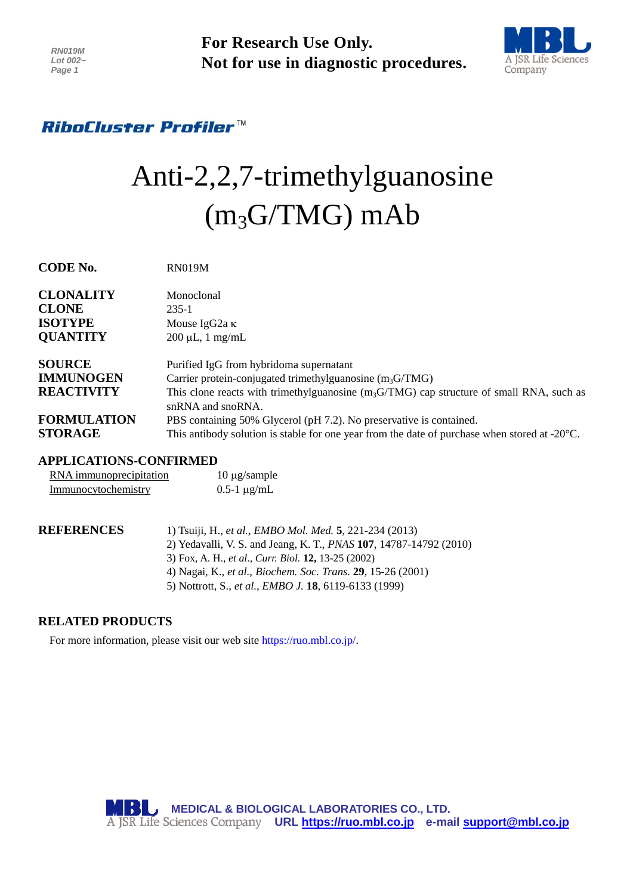**For Research Use Only. Not for use in diagnostic procedures.**



# *RiboCluster Profiler™*

# Anti-2,2,7-trimethylguanosine (m3G/TMG) mAb

| CODE NO.           | <b>KINUTAMI</b>                                                                                         |
|--------------------|---------------------------------------------------------------------------------------------------------|
| <b>CLONALITY</b>   | Monoclonal                                                                                              |
| <b>CLONE</b>       | $235 - 1$                                                                                               |
| <b>ISOTYPE</b>     | Mouse IgG2a $\kappa$                                                                                    |
| <b>QUANTITY</b>    | $200 \mu L$ , 1 mg/mL                                                                                   |
| <b>SOURCE</b>      | Purified IgG from hybridoma supernatant                                                                 |
| <b>IMMUNOGEN</b>   | Carrier protein-conjugated trimethylguanosine $(m_3G/TMG)$                                              |
| <b>REACTIVITY</b>  | This clone reacts with trimethylguanosine $(m_3G/TMG)$ cap structure of small RNA, such as              |
|                    | $snRNA$ and $snoRNA$ .                                                                                  |
| <b>FORMULATION</b> | PBS containing 50% Glycerol (pH 7.2). No preservative is contained.                                     |
| <b>STORAGE</b>     | This antibody solution is stable for one year from the date of purchase when stored at $-20^{\circ}$ C. |

## **APPLICATIONS-CONFIRMED**

**CODE No.** RN019M

| RNA immunoprecipitation | $10 \mu$ g/sample |
|-------------------------|-------------------|
| Immunocytochemistry     | 0.5-1 $\mu$ g/mL  |

| REFERENCES | 1) Tsuiji, H., et al., <i>EMBO Mol. Med.</i> 5, 221-234 (2013)                     |
|------------|------------------------------------------------------------------------------------|
|            | 2) Yedavalli, V. S. and Jeang, K. T., <i>PNAS</i> 107, 14787-14792 (2010)          |
|            | 3) Fox, A. H., et al., Curr. Biol. 12, 13-25 (2002)                                |
|            | 4) Nagai, K., <i>et al.</i> , <i>Biochem. Soc. Trans.</i> <b>29</b> , 15-26 (2001) |
|            | 5) Nottrott, S., et al., <i>EMBO J.</i> <b>18</b> , 6119-6133 (1999)               |

# **RELATED PRODUCTS**

For more information, please visit our web site [https://ruo.mbl.co.jp/.](https://ruo.mbl.co.jp/)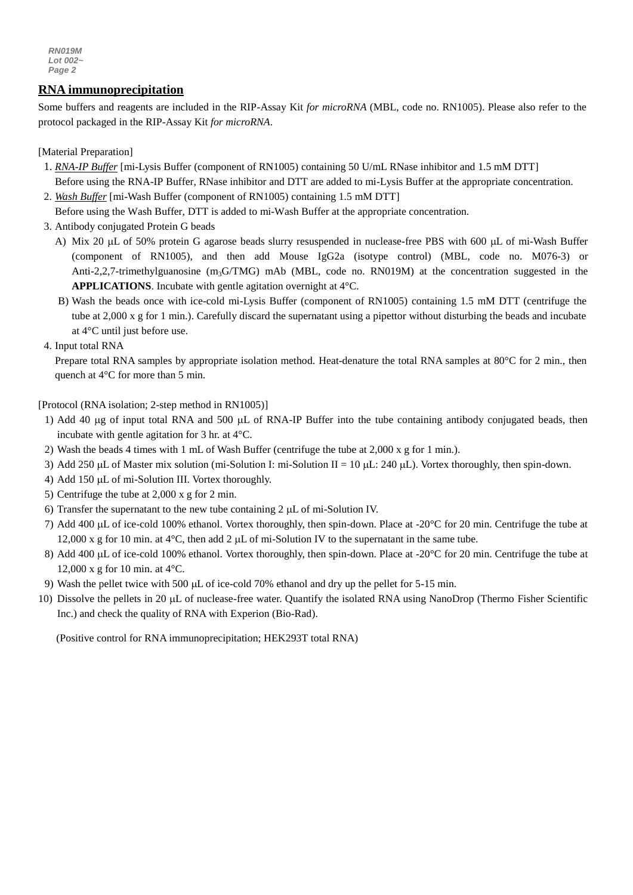*RN019M Lot 002~ Page 2*

## **RNA immunoprecipitation**

*g* Some buffers and reagents are included in the RIP-Assay Kit *for microRNA* (MBL, code no. RN1005). Please also refer to the *3* protocol packaged in the RIP-Assay Kit *for microRNA*.

[Material Preparation]

- 1. *RNA-IP Buffer* [mi-Lysis Buffer (component of RN1005) containing 50 U/mL RNase inhibitor and 1.5 mM DTT] Before using the RNA-IP Buffer, RNase inhibitor and DTT are added to mi-Lysis Buffer at the appropriate concentration.
- 2. *Wash Buffer* [mi-Wash Buffer (component of RN1005) containing 1.5 mM DTT]

Before using the Wash Buffer, DTT is added to mi-Wash Buffer at the appropriate concentration.

- 3. Antibody conjugated Protein G beads
	- A) Mix 20 µL of 50% protein G agarose beads slurry resuspended in nuclease-free PBS with 600 µL of mi-Wash Buffer (component of RN1005), and then add Mouse IgG2a (isotype control) (MBL, code no. M076-3) or Anti-2,2,7-trimethylguanosine  $(m_3G/TMG)$  mAb (MBL, code no. RN019M) at the concentration suggested in the **APPLICATIONS**. Incubate with gentle agitation overnight at 4°C.
	- B) Wash the beads once with ice-cold mi-Lysis Buffer (component of RN1005) containing 1.5 mM DTT (centrifuge the tube at 2,000 x g for 1 min.). Carefully discard the supernatant using a pipettor without disturbing the beads and incubate at 4°C until just before use.
- 4. Input total RNA

Prepare total RNA samples by appropriate isolation method. Heat-denature the total RNA samples at 80°C for 2 min., then quench at 4°C for more than 5 min.

[Protocol (RNA isolation; 2-step method in RN1005)]

- 1) Add 40  $\mu$ g of input total RNA and 500  $\mu$ L of RNA-IP Buffer into the tube containing antibody conjugated beads, then incubate with gentle agitation for 3 hr. at 4°C.
- 2) Wash the beads 4 times with 1 mL of Wash Buffer (centrifuge the tube at 2,000 x g for 1 min.).
- 3) Add 250  $\mu$ L of Master mix solution (mi-Solution I: mi-Solution II = 10  $\mu$ L: 240  $\mu$ L). Vortex thoroughly, then spin-down.
- 4) Add 150 µL of mi-Solution III. Vortex thoroughly.
- 5) Centrifuge the tube at 2,000 x g for 2 min.
- 6) Transfer the supernatant to the new tube containing  $2 \mu L$  of mi-Solution IV.
- 7) Add 400  $\mu$ L of ice-cold 100% ethanol. Vortex thoroughly, then spin-down. Place at -20 $\degree$ C for 20 min. Centrifuge the tube at 12,000 x g for 10 min. at  $4^{\circ}$ C, then add 2  $\mu$ L of mi-Solution IV to the supernatant in the same tube.
- 8) Add 400  $\mu$ L of ice-cold 100% ethanol. Vortex thoroughly, then spin-down. Place at -20 $\degree$ C for 20 min. Centrifuge the tube at 12,000 x g for 10 min. at 4°C.
- 9) Wash the pellet twice with 500  $\mu$ L of ice-cold 70% ethanol and dry up the pellet for 5-15 min.
- 10) Dissolve the pellets in 20  $\mu$ L of nuclease-free water. Quantify the isolated RNA using NanoDrop (Thermo Fisher Scientific Inc.) and check the quality of RNA with Experion (Bio-Rad).

(Positive control for RNA immunoprecipitation; HEK293T total RNA)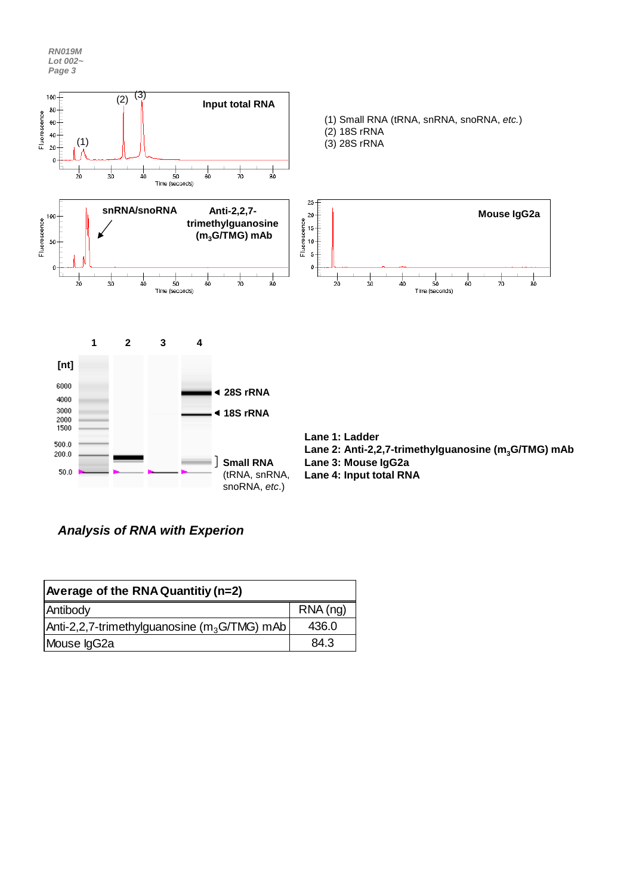*RN019M Lot 002~ Page 3*



*Analysis of RNA with Experion*

| Average of the RNA Quantitiy (n=2)             |         |  |  |
|------------------------------------------------|---------|--|--|
| Antibody                                       | RNA(ng) |  |  |
| $Anti-2,2,7-trimethyl guanosine (m3G/TMG)$ mAb | 436.0   |  |  |
| Mouse IgG2a                                    | 84.3    |  |  |